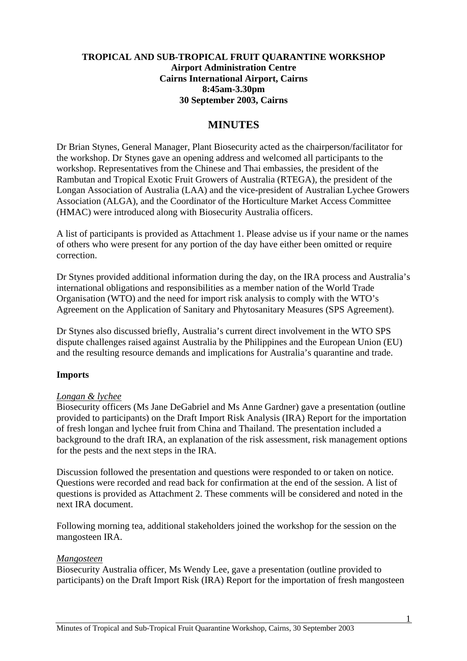### **TROPICAL AND SUB-TROPICAL FRUIT QUARANTINE WORKSHOP Airport Administration Centre Cairns International Airport, Cairns 8:45am-3.30pm 30 September 2003, Cairns**

# **MINUTES**

Dr Brian Stynes, General Manager, Plant Biosecurity acted as the chairperson/facilitator for the workshop. Dr Stynes gave an opening address and welcomed all participants to the workshop. Representatives from the Chinese and Thai embassies, the president of the Rambutan and Tropical Exotic Fruit Growers of Australia (RTEGA), the president of the Longan Association of Australia (LAA) and the vice-president of Australian Lychee Growers Association (ALGA), and the Coordinator of the Horticulture Market Access Committee (HMAC) were introduced along with Biosecurity Australia officers.

A list of participants is provided as Attachment 1. Please advise us if your name or the names of others who were present for any portion of the day have either been omitted or require correction.

Dr Stynes provided additional information during the day, on the IRA process and Australia's international obligations and responsibilities as a member nation of the World Trade Organisation (WTO) and the need for import risk analysis to comply with the WTO's Agreement on the Application of Sanitary and Phytosanitary Measures (SPS Agreement).

Dr Stynes also discussed briefly, Australia's current direct involvement in the WTO SPS dispute challenges raised against Australia by the Philippines and the European Union (EU) and the resulting resource demands and implications for Australia's quarantine and trade.

### **Imports**

### *Longan & lychee*

Biosecurity officers (Ms Jane DeGabriel and Ms Anne Gardner) gave a presentation (outline provided to participants) on the Draft Import Risk Analysis (IRA) Report for the importation of fresh longan and lychee fruit from China and Thailand. The presentation included a background to the draft IRA, an explanation of the risk assessment, risk management options for the pests and the next steps in the IRA.

Discussion followed the presentation and questions were responded to or taken on notice. Questions were recorded and read back for confirmation at the end of the session. A list of questions is provided as Attachment 2. These comments will be considered and noted in the next IRA document.

Following morning tea, additional stakeholders joined the workshop for the session on the mangosteen IRA.

#### *Mangosteen*

Biosecurity Australia officer, Ms Wendy Lee, gave a presentation (outline provided to participants) on the Draft Import Risk (IRA) Report for the importation of fresh mangosteen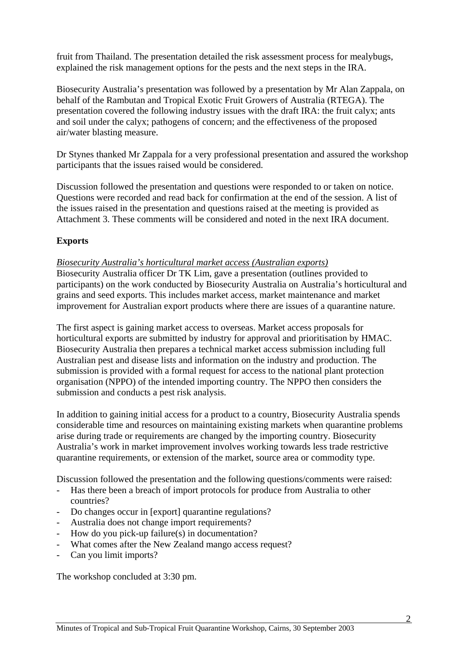fruit from Thailand. The presentation detailed the risk assessment process for mealybugs, explained the risk management options for the pests and the next steps in the IRA.

Biosecurity Australia's presentation was followed by a presentation by Mr Alan Zappala, on behalf of the Rambutan and Tropical Exotic Fruit Growers of Australia (RTEGA). The presentation covered the following industry issues with the draft IRA: the fruit calyx; ants and soil under the calyx; pathogens of concern; and the effectiveness of the proposed air/water blasting measure.

Dr Stynes thanked Mr Zappala for a very professional presentation and assured the workshop participants that the issues raised would be considered.

Discussion followed the presentation and questions were responded to or taken on notice. Questions were recorded and read back for confirmation at the end of the session. A list of the issues raised in the presentation and questions raised at the meeting is provided as Attachment 3. These comments will be considered and noted in the next IRA document.

## **Exports**

### *Biosecurity Australia's horticultural market access (Australian exports)*

Biosecurity Australia officer Dr TK Lim, gave a presentation (outlines provided to participants) on the work conducted by Biosecurity Australia on Australia's horticultural and grains and seed exports. This includes market access, market maintenance and market improvement for Australian export products where there are issues of a quarantine nature.

The first aspect is gaining market access to overseas. Market access proposals for horticultural exports are submitted by industry for approval and prioritisation by HMAC. Biosecurity Australia then prepares a technical market access submission including full Australian pest and disease lists and information on the industry and production. The submission is provided with a formal request for access to the national plant protection organisation (NPPO) of the intended importing country. The NPPO then considers the submission and conducts a pest risk analysis.

In addition to gaining initial access for a product to a country, Biosecurity Australia spends considerable time and resources on maintaining existing markets when quarantine problems arise during trade or requirements are changed by the importing country. Biosecurity Australia's work in market improvement involves working towards less trade restrictive quarantine requirements, or extension of the market, source area or commodity type.

Discussion followed the presentation and the following questions/comments were raised:

- Has there been a breach of import protocols for produce from Australia to other countries?
- Do changes occur in [export] quarantine regulations?
- Australia does not change import requirements?
- How do you pick-up failure(s) in documentation?
- What comes after the New Zealand mango access request?
- Can you limit imports?

The workshop concluded at 3:30 pm.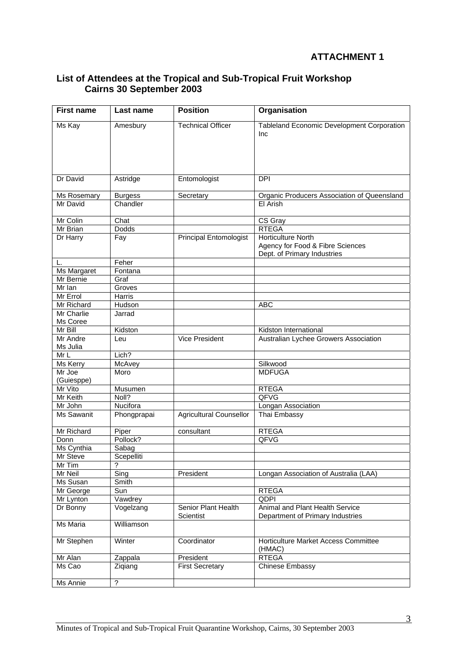# **ATTACHMENT 1**

| <b>First name</b>             | Last name      | <b>Position</b>                  | Organisation                                                                                 |
|-------------------------------|----------------|----------------------------------|----------------------------------------------------------------------------------------------|
| Ms Kay                        | Amesbury       | <b>Technical Officer</b>         | <b>Tableland Economic Development Corporation</b><br>Inc                                     |
| Dr David                      | Astridge       | Entomologist                     | <b>DPI</b>                                                                                   |
| Ms Rosemary                   | <b>Burgess</b> | Secretary                        | Organic Producers Association of Queensland                                                  |
| Mr David                      | Chandler       |                                  | El Arish                                                                                     |
| Mr Colin                      | Chat           |                                  | CS Gray                                                                                      |
| Mr Brian                      | Dodds          |                                  | <b>RTEGA</b>                                                                                 |
| Dr Harry                      | Fay            | <b>Principal Entomologist</b>    | <b>Horticulture North</b><br>Agency for Food & Fibre Sciences<br>Dept. of Primary Industries |
| L.                            | Feher          |                                  |                                                                                              |
| Ms Margaret                   | Fontana        |                                  |                                                                                              |
| Mr Bernie                     | Graf           |                                  |                                                                                              |
| Mr Ian                        | Groves         |                                  |                                                                                              |
| Mr Errol                      | Harris         |                                  |                                                                                              |
| Mr Richard                    | Hudson         |                                  | <b>ABC</b>                                                                                   |
| <b>Mr Charlie</b><br>Ms Coree | Jarrad         |                                  |                                                                                              |
| Mr Bill                       | Kidston        |                                  | Kidston International                                                                        |
| Mr Andre<br>Ms Julia          | Leu            | Vice President                   | Australian Lychee Growers Association                                                        |
| Mr L                          | Lich?          |                                  |                                                                                              |
| Ms Kerry                      | McAvey         |                                  | Silkwood                                                                                     |
| Mr Joe<br>(Guiesppe)          | Moro           |                                  | <b>MDFUGA</b>                                                                                |
| Mr Vito                       | Musumen        |                                  | <b>RTEGA</b>                                                                                 |
| Mr Keith                      | Noll?          |                                  | QFVG                                                                                         |
| Mr John                       | Nucifora       |                                  | Longan Association                                                                           |
| Ms Sawanit                    | Phongprapai    | <b>Agricultural Counsellor</b>   | Thai Embassy                                                                                 |
| Mr Richard                    | Piper          | consultant                       | <b>RTEGA</b>                                                                                 |
| Donn                          | Pollock?       |                                  | QFVG                                                                                         |
| Ms Cynthia                    | Sabag          |                                  |                                                                                              |
| Mr Steve                      | Scepelliti     |                                  |                                                                                              |
| Mr Tim                        | ?              |                                  |                                                                                              |
| Mr Neil                       | Sing           | President                        | Longan Association of Australia (LAA)                                                        |
| Ms Susan                      | Smith          |                                  |                                                                                              |
| Mr George                     | Sun            |                                  | <b>RTEGA</b>                                                                                 |
| Mr Lynton                     | Vawdrey        |                                  | <b>QDPI</b>                                                                                  |
| Dr Bonny                      | Vogelzang      | Senior Plant Health<br>Scientist | Animal and Plant Health Service<br>Department of Primary Industries                          |
| Ms Maria                      | Williamson     |                                  |                                                                                              |
| Mr Stephen                    | Winter         | Coordinator                      | Horticulture Market Access Committee<br>(HMAC)                                               |
| Mr Alan                       | Zappala        | President                        | <b>RTEGA</b>                                                                                 |
| Ms Cao                        | Ziqiang        | <b>First Secretary</b>           | <b>Chinese Embassy</b>                                                                       |
| Ms Annie                      | $\overline{?}$ |                                  |                                                                                              |

### **List of Attendees at the Tropical and Sub-Tropical Fruit Workshop Cairns 30 September 2003**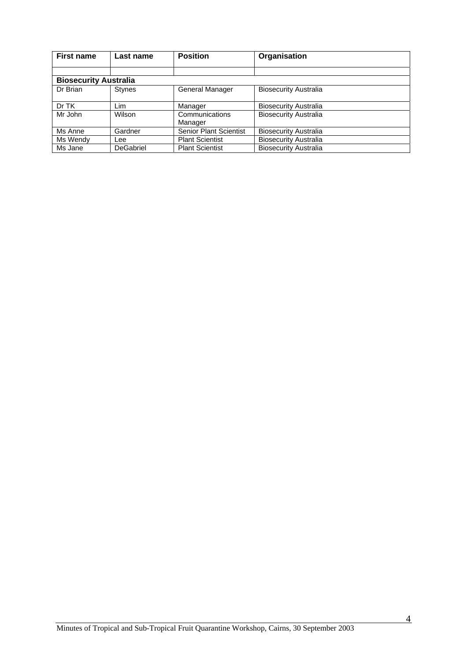| <b>First name</b>            | Last name     | <b>Position</b>               | Organisation                 |  |
|------------------------------|---------------|-------------------------------|------------------------------|--|
|                              |               |                               |                              |  |
| <b>Biosecurity Australia</b> |               |                               |                              |  |
| Dr Brian                     | <b>Stynes</b> | General Manager               | <b>Biosecurity Australia</b> |  |
| Dr TK                        | Lim           | Manager                       | <b>Biosecurity Australia</b> |  |
| Mr John                      | Wilson        | Communications<br>Manager     | <b>Biosecurity Australia</b> |  |
| Ms Anne                      | Gardner       | <b>Senior Plant Scientist</b> | <b>Biosecurity Australia</b> |  |
| Ms Wendy                     | Lee           | <b>Plant Scientist</b>        | <b>Biosecurity Australia</b> |  |
| Ms Jane                      | DeGabriel     | <b>Plant Scientist</b>        | <b>Biosecurity Australia</b> |  |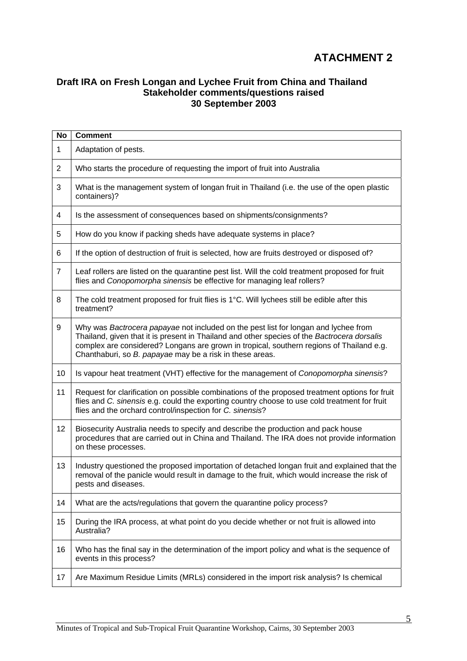# **ATACHMENT 2**

### **Draft IRA on Fresh Longan and Lychee Fruit from China and Thailand Stakeholder comments/questions raised 30 September 2003**

| No             | <b>Comment</b>                                                                                                                                                                                                                                                                                                                             |
|----------------|--------------------------------------------------------------------------------------------------------------------------------------------------------------------------------------------------------------------------------------------------------------------------------------------------------------------------------------------|
| $\mathbf 1$    | Adaptation of pests.                                                                                                                                                                                                                                                                                                                       |
| $\overline{2}$ | Who starts the procedure of requesting the import of fruit into Australia                                                                                                                                                                                                                                                                  |
| 3              | What is the management system of longan fruit in Thailand (i.e. the use of the open plastic<br>containers)?                                                                                                                                                                                                                                |
| 4              | Is the assessment of consequences based on shipments/consignments?                                                                                                                                                                                                                                                                         |
| 5              | How do you know if packing sheds have adequate systems in place?                                                                                                                                                                                                                                                                           |
| 6              | If the option of destruction of fruit is selected, how are fruits destroyed or disposed of?                                                                                                                                                                                                                                                |
| $\overline{7}$ | Leaf rollers are listed on the quarantine pest list. Will the cold treatment proposed for fruit<br>flies and Conopomorpha sinensis be effective for managing leaf rollers?                                                                                                                                                                 |
| 8              | The cold treatment proposed for fruit flies is 1°C. Will lychees still be edible after this<br>treatment?                                                                                                                                                                                                                                  |
| 9              | Why was Bactrocera papayae not included on the pest list for longan and lychee from<br>Thailand, given that it is present in Thailand and other species of the Bactrocera dorsalis<br>complex are considered? Longans are grown in tropical, southern regions of Thailand e.g.<br>Chanthaburi, so B. papayae may be a risk in these areas. |
| 10             | Is vapour heat treatment (VHT) effective for the management of Conopomorpha sinensis?                                                                                                                                                                                                                                                      |
| 11             | Request for clarification on possible combinations of the proposed treatment options for fruit<br>flies and C. sinensis e.g. could the exporting country choose to use cold treatment for fruit<br>flies and the orchard control/inspection for C. sinensis?                                                                               |
| 12             | Biosecurity Australia needs to specify and describe the production and pack house<br>procedures that are carried out in China and Thailand. The IRA does not provide information<br>on these processes.                                                                                                                                    |
| 13             | Industry questioned the proposed importation of detached longan fruit and explained that the<br>removal of the panicle would result in damage to the fruit, which would increase the risk of<br>pests and diseases.                                                                                                                        |
| 14             | What are the acts/regulations that govern the quarantine policy process?                                                                                                                                                                                                                                                                   |
| 15             | During the IRA process, at what point do you decide whether or not fruit is allowed into<br>Australia?                                                                                                                                                                                                                                     |
| 16             | Who has the final say in the determination of the import policy and what is the sequence of<br>events in this process?                                                                                                                                                                                                                     |
| 17             | Are Maximum Residue Limits (MRLs) considered in the import risk analysis? Is chemical                                                                                                                                                                                                                                                      |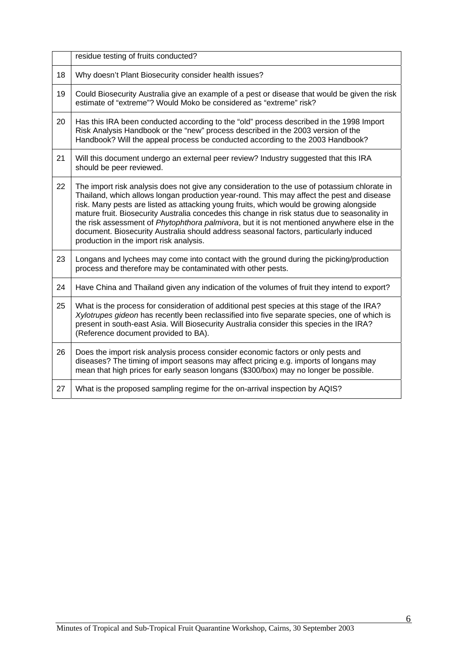|    | residue testing of fruits conducted?                                                                                                                                                                                                                                                                                                                                                                                                                                                                                                                                                                                     |
|----|--------------------------------------------------------------------------------------------------------------------------------------------------------------------------------------------------------------------------------------------------------------------------------------------------------------------------------------------------------------------------------------------------------------------------------------------------------------------------------------------------------------------------------------------------------------------------------------------------------------------------|
| 18 | Why doesn't Plant Biosecurity consider health issues?                                                                                                                                                                                                                                                                                                                                                                                                                                                                                                                                                                    |
| 19 | Could Biosecurity Australia give an example of a pest or disease that would be given the risk<br>estimate of "extreme"? Would Moko be considered as "extreme" risk?                                                                                                                                                                                                                                                                                                                                                                                                                                                      |
| 20 | Has this IRA been conducted according to the "old" process described in the 1998 Import<br>Risk Analysis Handbook or the "new" process described in the 2003 version of the<br>Handbook? Will the appeal process be conducted according to the 2003 Handbook?                                                                                                                                                                                                                                                                                                                                                            |
| 21 | Will this document undergo an external peer review? Industry suggested that this IRA<br>should be peer reviewed.                                                                                                                                                                                                                                                                                                                                                                                                                                                                                                         |
| 22 | The import risk analysis does not give any consideration to the use of potassium chlorate in<br>Thailand, which allows longan production year-round. This may affect the pest and disease<br>risk. Many pests are listed as attacking young fruits, which would be growing alongside<br>mature fruit. Biosecurity Australia concedes this change in risk status due to seasonality in<br>the risk assessment of Phytophthora palmivora, but it is not mentioned anywhere else in the<br>document. Biosecurity Australia should address seasonal factors, particularly induced<br>production in the import risk analysis. |
| 23 | Longans and lychees may come into contact with the ground during the picking/production<br>process and therefore may be contaminated with other pests.                                                                                                                                                                                                                                                                                                                                                                                                                                                                   |
| 24 | Have China and Thailand given any indication of the volumes of fruit they intend to export?                                                                                                                                                                                                                                                                                                                                                                                                                                                                                                                              |
| 25 | What is the process for consideration of additional pest species at this stage of the IRA?<br>Xylotrupes gideon has recently been reclassified into five separate species, one of which is<br>present in south-east Asia. Will Biosecurity Australia consider this species in the IRA?<br>(Reference document provided to BA).                                                                                                                                                                                                                                                                                           |
| 26 | Does the import risk analysis process consider economic factors or only pests and<br>diseases? The timing of import seasons may affect pricing e.g. imports of longans may<br>mean that high prices for early season longans (\$300/box) may no longer be possible.                                                                                                                                                                                                                                                                                                                                                      |
| 27 | What is the proposed sampling regime for the on-arrival inspection by AQIS?                                                                                                                                                                                                                                                                                                                                                                                                                                                                                                                                              |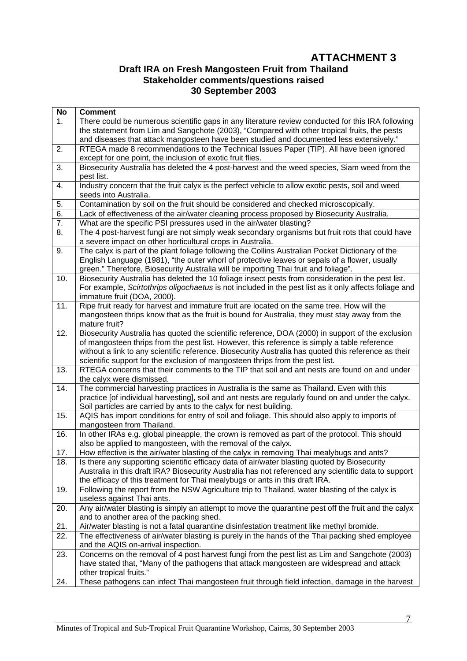# **ATTACHMENT 3**

### **Draft IRA on Fresh Mangosteen Fruit from Thailand Stakeholder comments/questions raised 30 September 2003**

| No               | <b>Comment</b>                                                                                                                                                            |
|------------------|---------------------------------------------------------------------------------------------------------------------------------------------------------------------------|
| 1.               | There could be numerous scientific gaps in any literature review conducted for this IRA following                                                                         |
|                  | the statement from Lim and Sangchote (2003), "Compared with other tropical fruits, the pests                                                                              |
|                  | and diseases that attack mangosteen have been studied and documented less extensively."                                                                                   |
| 2.               | RTEGA made 8 recommendations to the Technical Issues Paper (TIP). All have been ignored                                                                                   |
|                  | except for one point, the inclusion of exotic fruit flies.                                                                                                                |
| $\overline{3}$ . | Biosecurity Australia has deleted the 4 post-harvest and the weed species, Siam weed from the                                                                             |
|                  | pest list.                                                                                                                                                                |
| 4.               | Industry concern that the fruit calyx is the perfect vehicle to allow exotic pests, soil and weed                                                                         |
|                  | seeds into Australia.                                                                                                                                                     |
| 5.               | Contamination by soil on the fruit should be considered and checked microscopically.                                                                                      |
| $\overline{6}$   | Lack of effectiveness of the air/water cleaning process proposed by Biosecurity Australia.                                                                                |
| 7.<br>8.         | What are the specific PSI pressures used in the air/water blasting?                                                                                                       |
|                  | The 4 post-harvest fungi are not simply weak secondary organisms but fruit rots that could have<br>a severe impact on other horticultural crops in Australia.             |
| 9.               | The calyx is part of the plant foliage following the Collins Australian Pocket Dictionary of the                                                                          |
|                  | English Language (1981), "the outer whorl of protective leaves or sepals of a flower, usually                                                                             |
|                  | green." Therefore, Biosecurity Australia will be importing Thai fruit and foliage".                                                                                       |
| 10.              | Biosecurity Australia has deleted the 10 foliage insect pests from consideration in the pest list.                                                                        |
|                  | For example, Scirtothrips oligochaetus is not included in the pest list as it only affects foliage and                                                                    |
|                  | immature fruit (DOA, 2000).                                                                                                                                               |
| 11.              | Ripe fruit ready for harvest and immature fruit are located on the same tree. How will the                                                                                |
|                  | mangosteen thrips know that as the fruit is bound for Australia, they must stay away from the                                                                             |
|                  | mature fruit?                                                                                                                                                             |
| 12.              | Biosecurity Australia has quoted the scientific reference, DOA (2000) in support of the exclusion                                                                         |
|                  | of mangosteen thrips from the pest list. However, this reference is simply a table reference                                                                              |
|                  | without a link to any scientific reference. Biosecurity Australia has quoted this reference as their                                                                      |
|                  | scientific support for the exclusion of mangosteen thrips from the pest list.                                                                                             |
| 13.              | RTEGA concerns that their comments to the TIP that soil and ant nests are found on and under                                                                              |
|                  | the calyx were dismissed.                                                                                                                                                 |
| 14.              | The commercial harvesting practices in Australia is the same as Thailand. Even with this                                                                                  |
|                  | practice [of individual harvesting], soil and ant nests are regularly found on and under the calyx.<br>Soil particles are carried by ants to the calyx for nest building. |
| 15.              | AQIS has import conditions for entry of soil and foliage. This should also apply to imports of                                                                            |
|                  | mangosteen from Thailand.                                                                                                                                                 |
| 16.              | In other IRAs e.g. global pineapple, the crown is removed as part of the protocol. This should                                                                            |
|                  | also be applied to mangosteen, with the removal of the calyx.                                                                                                             |
| 17.              | How effective is the air/water blasting of the calyx in removing Thai mealybugs and ants?                                                                                 |
| 18.              | Is there any supporting scientific efficacy data of air/water blasting quoted by Biosecurity                                                                              |
|                  | Australia in this draft IRA? Biosecurity Australia has not referenced any scientific data to support                                                                      |
|                  | the efficacy of this treatment for Thai mealybugs or ants in this draft IRA.                                                                                              |
| 19.              | Following the report from the NSW Agriculture trip to Thailand, water blasting of the calyx is                                                                            |
|                  | useless against Thai ants.                                                                                                                                                |
| 20.              | Any air/water blasting is simply an attempt to move the quarantine pest off the fruit and the calyx                                                                       |
|                  | and to another area of the packing shed.                                                                                                                                  |
| 21.              | Air/water blasting is not a fatal quarantine disinfestation treatment like methyl bromide.                                                                                |
| 22.              | The effectiveness of air/water blasting is purely in the hands of the Thai packing shed employee                                                                          |
|                  | and the AQIS on-arrival inspection.                                                                                                                                       |
| 23.              | Concerns on the removal of 4 post harvest fungi from the pest list as Lim and Sangchote (2003)                                                                            |
|                  | have stated that, "Many of the pathogens that attack mangosteen are widespread and attack                                                                                 |
| 24.              | other tropical fruits."<br>These pathogens can infect Thai mangosteen fruit through field infection, damage in the harvest                                                |
|                  |                                                                                                                                                                           |